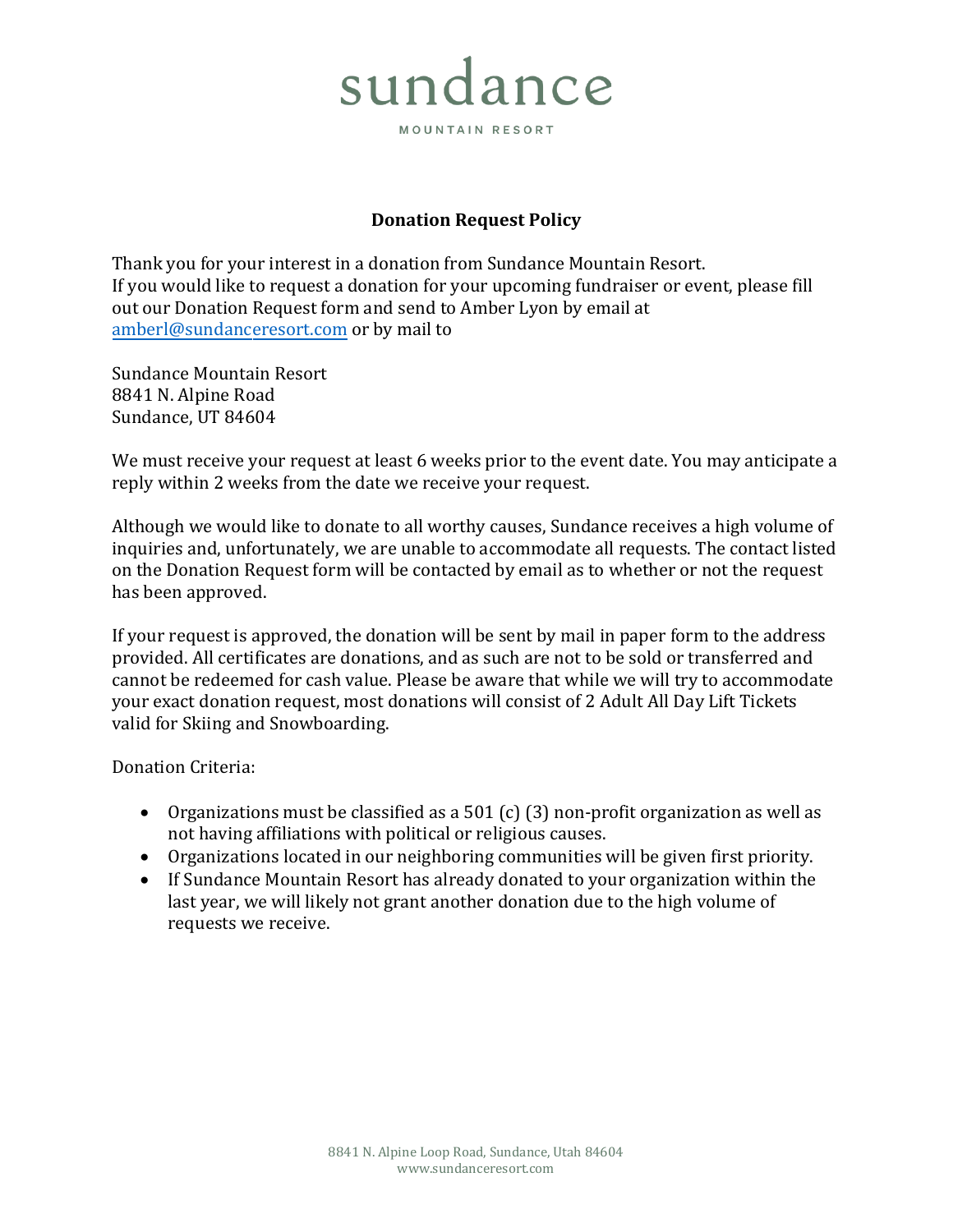## sundance

MOUNTAIN RESORT

## **Donation Request Policy**

Thank you for your interest in a donation from Sundance Mountain Resort. If you would like to request a donation for your upcoming fundraiser or event, please fill out our Donation Request form and send to Amber Lyon by email at [amberl@s](mailto:amberl@sundance-utah.com)undanceresort.com or by mail to

Sundance Mountain Resort 8841 N. Alpine Road Sundance, UT 84604

We must receive your request at least 6 weeks prior to the event date. You may anticipate a reply within 2 weeks from the date we receive your request.

Although we would like to donate to all worthy causes, Sundance receives a high volume of inquiries and, unfortunately, we are unable to accommodate all requests. The contact listed on the Donation Request form will be contacted by email as to whether or not the request has been approved.

If your request is approved, the donation will be sent by mail in paper form to the address provided. All certificates are donations, and as such are not to be sold or transferred and cannot be redeemed for cash value. Please be aware that while we will try to accommodate your exact donation request, most donations will consist of 2 Adult All Day Lift Tickets valid for Skiing and Snowboarding.

Donation Criteria:

- Organizations must be classified as a 501 (c) (3) non-profit organization as well as not having affiliations with political or religious causes.
- Organizations located in our neighboring communities will be given first priority.
- If Sundance Mountain Resort has already donated to your organization within the last year, we will likely not grant another donation due to the high volume of requests we receive.